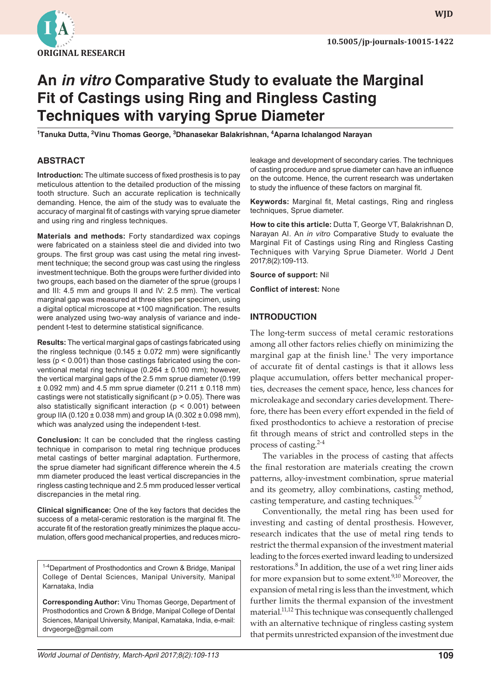

**WJD WJD**

# **An** *in vitro* **Comparative Study to evaluate the Marginal Fit of Castings using Ring and Ringless Casting Techniques with varying Sprue Diameter**

<sup>1</sup>Tanuka Dutta, <sup>2</sup>Vinu Thomas George, <sup>3</sup>Dhanasekar Balakrishnan, <sup>4</sup>Aparna Ichalangod Narayan

## **ABSTRACT**

**Introduction:** The ultimate success of fixed prosthesis is to pay meticulous attention to the detailed production of the missing tooth structure. Such an accurate replication is technically demanding. Hence, the aim of the study was to evaluate the accuracy of marginal fit of castings with varying sprue diameter and using ring and ringless techniques.

**Materials and methods:** Forty standardized wax copings were fabricated on a stainless steel die and divided into two groups. The first group was cast using the metal ring investment technique; the second group was cast using the ringless investment technique. Both the groups were further divided into two groups, each based on the diameter of the sprue (groups I and III: 4.5 mm and groups II and IV: 2.5 mm). The vertical marginal gap was measured at three sites per specimen, using a digital optical microscope at ×100 magnification. The results were analyzed using two-way analysis of variance and independent t-test to determine statistical significance.

**Results:** The vertical marginal gaps of castings fabricated using the ringless technique (0.145  $\pm$  0.072 mm) were significantly less (p < 0.001) than those castings fabricated using the conventional metal ring technique (0.264 ± 0.100 mm); however, the vertical marginal gaps of the 2.5 mm sprue diameter (0.199  $\pm$  0.092 mm) and 4.5 mm sprue diameter (0.211  $\pm$  0.118 mm) castings were not statistically significant ( $p > 0.05$ ). There was also statistically significant interaction ( $p < 0.001$ ) between group IIA (0.120  $\pm$  0.038 mm) and group IA (0.302  $\pm$  0.098 mm), which was analyzed using the independent t-test.

**Conclusion:** It can be concluded that the ringless casting technique in comparison to metal ring technique produces metal castings of better marginal adaptation. Furthermore, the sprue diameter had significant difference wherein the 4.5 mm diameter produced the least vertical discrepancies in the ringless casting technique and 2.5 mm produced lesser vertical discrepancies in the metal ring.

**Clinical significance:** One of the key factors that decides the success of a metal-ceramic restoration is the marginal fit. The accurate fit of the restoration greatly minimizes the plaque accumulation, offers good mechanical properties, and reduces micro-

1-4Department of Prosthodontics and Crown & Bridge, Manipal College of Dental Sciences, Manipal University, Manipal Karnataka, India

**Corresponding Author:** Vinu Thomas George, Department of Prosthodontics and Crown & Bridge, Manipal College of Dental Sciences, Manipal University, Manipal, Karnataka, India, e-mail: drvgeorge@gmail.com

leakage and development of secondary caries. The techniques of casting procedure and sprue diameter can have an influence on the outcome. Hence, the current research was undertaken to study the influence of these factors on marginal fit.

**Keywords:** Marginal fit, Metal castings, Ring and ringless techniques, Sprue diameter.

**How to cite this article:** Dutta T, George VT, Balakrishnan D, Narayan AI. An *in vitro* Comparative Study to evaluate the Marginal Fit of Castings using Ring and Ringless Casting Techniques with Varying Sprue Diameter. World J Dent 2017;8(2):109-113.

**Source of support:** Nil

**Conflict of interest:** None

#### **INTRODUCTION**

The long-term success of metal ceramic restorations among all other factors relies chiefly on minimizing the marginal gap at the finish line.<sup>1</sup> The very importance of accurate fit of dental castings is that it allows less plaque accumulation, offers better mechanical properties, decreases the cement space, hence, less chances for microleakage and secondary caries development. Therefore, there has been every effort expended in the field of fixed prosthodontics to achieve a restoration of precise fit through means of strict and controlled steps in the process of casting. $2-4$ 

The variables in the process of casting that affects the final restoration are materials creating the crown patterns, alloy-investment combination, sprue material and its geometry, alloy combinations, casting method, casting temperature, and casting techniques.<sup>5-7</sup>

Conventionally, the metal ring has been used for investing and casting of dental prosthesis. However, research indicates that the use of metal ring tends to restrict the thermal expansion of the investment material leading to the forces exerted inward leading to undersized restorations.<sup>8</sup> In addition, the use of a wet ring liner aids for more expansion but to some extent.<sup>9,10</sup> Moreover, the expansion of metal ring is less than the investment, which further limits the thermal expansion of the investment material.<sup>11,12</sup> This technique was consequently challenged with an alternative technique of ringless casting system that permits unrestricted expansion of the investment due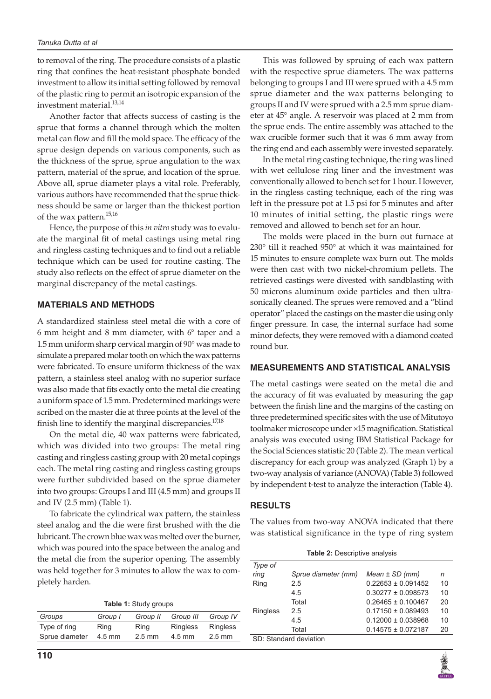to removal of the ring. The procedure consists of a plastic ring that confines the heat-resistant phosphate bonded investment to allow its initial setting followed by removal of the plastic ring to permit an isotropic expansion of the investment material.<sup>13,14</sup>

Another factor that affects success of casting is the sprue that forms a channel through which the molten metal can flow and fill the mold space. The efficacy of the sprue design depends on various components, such as the thickness of the sprue, sprue angulation to the wax pattern, material of the sprue, and location of the sprue. Above all, sprue diameter plays a vital role. Preferably, various authors have recommended that the sprue thickness should be same or larger than the thickest portion of the wax pattern.<sup>15,16</sup>

Hence, the purpose of this *in vitro* study was to evaluate the marginal fit of metal castings using metal ring and ringless casting techniques and to find out a reliable technique which can be used for routine casting. The study also reflects on the effect of sprue diameter on the marginal discrepancy of the metal castings.

#### **MATERIALS AND METHODS**

A standardized stainless steel metal die with a core of 6 mm height and 8 mm diameter, with 6° taper and a 1.5 mm uniform sharp cervical margin of 90° was made to simulate a prepared molar tooth on which the wax patterns were fabricated. To ensure uniform thickness of the wax pattern, a stainless steel analog with no superior surface was also made that fits exactly onto the metal die creating a uniform space of 1.5 mm. Predetermined markings were scribed on the master die at three points at the level of the finish line to identify the marginal discrepancies.<sup>17,18</sup>

On the metal die, 40 wax patterns were fabricated, which was divided into two groups: The metal ring casting and ringless casting group with 20 metal copings each. The metal ring casting and ringless casting groups were further subdivided based on the sprue diameter into two groups: Groups I and III (4.5 mm) and groups II and IV (2.5 mm) (Table 1).

To fabricate the cylindrical wax pattern, the stainless steel analog and the die were first brushed with the die lubricant. The crown blue wax was melted over the burner, which was poured into the space between the analog and the metal die from the superior opening. The assembly was held together for 3 minutes to allow the wax to completely harden.

| Groups         | Group I  | Group II         | Group III       | Group IV         |
|----------------|----------|------------------|-----------------|------------------|
| Type of ring   | Ring     | Ring             | <b>Ringless</b> | <b>Ringless</b>  |
| Sprue diameter | $4.5$ mm | $2.5 \text{ mm}$ | $4.5$ mm        | $2.5 \text{ mm}$ |
|                |          |                  |                 |                  |

This was followed by spruing of each wax pattern with the respective sprue diameters. The wax patterns belonging to groups I and III were sprued with a 4.5 mm sprue diameter and the wax patterns belonging to groups II and IV were sprued with a 2.5 mm sprue diameter at 45° angle. A reservoir was placed at 2 mm from the sprue ends. The entire assembly was attached to the wax crucible former such that it was 6 mm away from the ring end and each assembly were invested separately.

In the metal ring casting technique, the ring was lined with wet cellulose ring liner and the investment was conventionally allowed to bench set for 1 hour. However, in the ringless casting technique, each of the ring was left in the pressure pot at 1.5 psi for 5 minutes and after 10 minutes of initial setting, the plastic rings were removed and allowed to bench set for an hour.

The molds were placed in the burn out furnace at 230° till it reached 950° at which it was maintained for 15 minutes to ensure complete wax burn out. The molds were then cast with two nickel-chromium pellets. The retrieved castings were divested with sandblasting with 50 microns aluminum oxide particles and then ultrasonically cleaned. The sprues were removed and a "blind operator" placed the castings on the master die using only finger pressure. In case, the internal surface had some minor defects, they were removed with a diamond coated round bur.

#### **MEASUREMENTS AND STATISTICAL ANALYSIS**

The metal castings were seated on the metal die and the accuracy of fit was evaluated by measuring the gap between the finish line and the margins of the casting on three predetermined specific sites with the use of Mitutoyo toolmaker microscope under ×15 magnification. Statistical analysis was executed using IBM Statistical Package for the Social Sciences statistic 20 (Table 2). The mean vertical discrepancy for each group was analyzed (Graph 1) by a two-way analysis of variance (ANOVA) (Table 3) followed by independent t-test to analyze the interaction (Table 4).

#### **RESULTS**

The values from two-way ANOVA indicated that there was statistical significance in the type of ring system

**Table 2:** Descriptive analysis

| Type of         |                        |                        |    |
|-----------------|------------------------|------------------------|----|
| ring            | Sprue diameter (mm)    | $Mean \pm SD$ (mm)     | n  |
| Ring            | 2.5                    | $0.22653 \pm 0.091452$ | 10 |
|                 | 4.5                    | $0.30277 \pm 0.098573$ | 10 |
|                 | Total                  | $0.26465 \pm 0.100467$ | 20 |
| <b>Ringless</b> | 2.5                    | $0.17150 \pm 0.089493$ | 10 |
|                 | 4.5                    | $0.12000 \pm 0.038968$ | 10 |
|                 | Total                  | $0.14575 \pm 0.072187$ | 20 |
|                 | SD: Standard deviation |                        |    |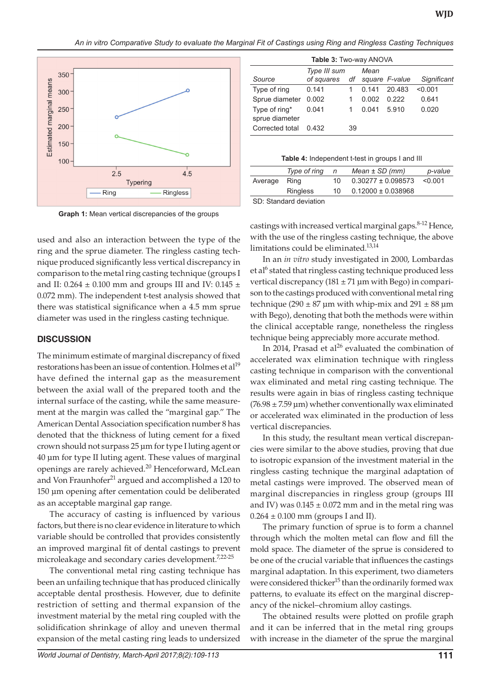*An in vitro Comparative Study to evaluate the Marginal Fit of Castings using Ring and Ringless Casting Techniques* 



| Table 3: Two-way ANOVA          |              |    |       |                |             |
|---------------------------------|--------------|----|-------|----------------|-------------|
|                                 | Type III sum |    | Mean  |                |             |
| Source                          | of squares   | df |       | square F-value | Significant |
| Type of ring                    | 0.141        |    | 0.141 | 20.483         | < 0.001     |
| Sprue diameter                  | 0.002        |    | 0.002 | 0.222          | 0.641       |
| Type of ring*<br>sprue diameter | 0.041        |    | 0.041 | 5.910          | 0.020       |
| Corrected total                 | 0.432        | 39 |       |                |             |

**Table 4:** Independent t-test in groups I and III

|         | Type of ring           | n   | $Mean \pm SD$ (mm)     | p-value |
|---------|------------------------|-----|------------------------|---------|
| Average | Rina                   | 10. | $0.30277 \pm 0.098573$ | < 0.001 |
|         | <b>Ringless</b>        | 10  | $0.12000 \pm 0.038968$ |         |
|         | CD: Ctandard doviation |     |                        |         |

SD: Standard deviation

**Graph 1:** Mean vertical discrepancies of the groups

used and also an interaction between the type of the ring and the sprue diameter. The ringless casting technique produced significantly less vertical discrepancy in comparison to the metal ring casting technique (groups I and II: 0.264  $\pm$  0.100 mm and groups III and IV: 0.145  $\pm$ 0.072 mm). The independent t-test analysis showed that there was statistical significance when a 4.5 mm sprue diameter was used in the ringless casting technique.

## **DISCUSSION**

The minimum estimate of marginal discrepancy of fixed restorations has been an issue of contention. Holmes et al<sup>19</sup> have defined the internal gap as the measurement between the axial wall of the prepared tooth and the internal surface of the casting, while the same measurement at the margin was called the "marginal gap." The American Dental Association specification number 8 has denoted that the thickness of luting cement for a fixed crown should not surpass 25 μm for type I luting agent or 40 μm for type II luting agent. These values of marginal openings are rarely achieved.<sup>20</sup> Henceforward, McLean and Von Fraunhofer<sup>21</sup> argued and accomplished a 120 to 150 μm opening after cementation could be deliberated as an acceptable marginal gap range.

The accuracy of casting is influenced by various factors, but there is no clear evidence in literature to which variable should be controlled that provides consistently an improved marginal fit of dental castings to prevent microleakage and secondary caries development.<sup>7,22-25</sup>

The conventional metal ring casting technique has been an unfailing technique that has produced clinically acceptable dental prosthesis. However, due to definite restriction of setting and thermal expansion of the investment material by the metal ring coupled with the solidification shrinkage of alloy and uneven thermal expansion of the metal casting ring leads to undersized castings with increased vertical marginal gaps.<sup>8-12</sup> Hence, with the use of the ringless casting technique, the above limitations could be eliminated.<sup>13,14</sup>

In an *in vitro* study investigated in 2000, Lombardas et al<sup>6</sup> stated that ringless casting technique produced less vertical discrepancy ( $181 \pm 71$  µm with Bego) in comparison to the castings produced with conventional metal ring technique (290  $\pm$  87 µm with whip-mix and 291  $\pm$  88 µm with Bego), denoting that both the methods were within the clinical acceptable range, nonetheless the ringless technique being appreciably more accurate method.

In 2014, Prasad et al<sup>26</sup> evaluated the combination of accelerated wax elimination technique with ringless casting technique in comparison with the conventional wax eliminated and metal ring casting technique. The results were again in bias of ringless casting technique  $(76.98 \pm 7.59 \,\mu m)$  whether conventionally wax eliminated or accelerated wax eliminated in the production of less vertical discrepancies.

In this study, the resultant mean vertical discrepancies were similar to the above studies, proving that due to isotropic expansion of the investment material in the ringless casting technique the marginal adaptation of metal castings were improved. The observed mean of marginal discrepancies in ringless group (groups III and IV) was  $0.145 \pm 0.072$  mm and in the metal ring was  $0.264 \pm 0.100$  mm (groups I and II).

The primary function of sprue is to form a channel through which the molten metal can flow and fill the mold space. The diameter of the sprue is considered to be one of the crucial variable that influences the castings marginal adaptation. In this experiment, two diameters were considered thicker<sup>15</sup> than the ordinarily formed wax patterns, to evaluate its effect on the marginal discrepancy of the nickel–chromium alloy castings.

The obtained results were plotted on profile graph and it can be inferred that in the metal ring groups with increase in the diameter of the sprue the marginal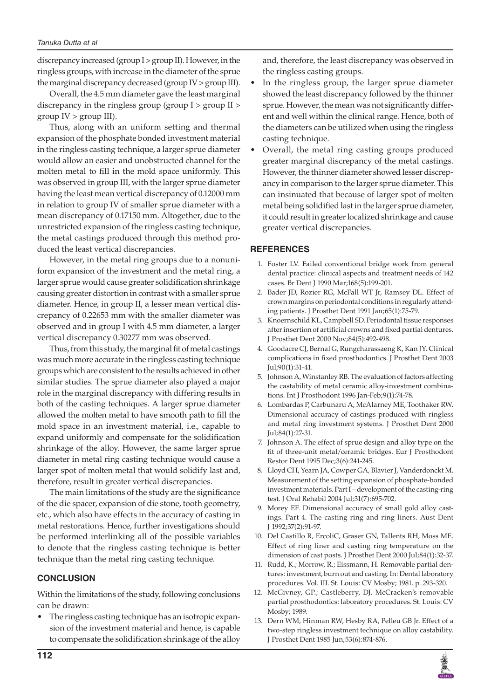discrepancy increased (group I > group II). However, in the ringless groups, with increase in the diameter of the sprue the marginal discrepancy decreased (group IV > group III).

Overall, the 4.5 mm diameter gave the least marginal discrepancy in the ringless group (group I > group II >  $group IV > group III$ ).

Thus, along with an uniform setting and thermal expansion of the phosphate bonded investment material in the ringless casting technique, a larger sprue diameter would allow an easier and unobstructed channel for the molten metal to fill in the mold space uniformly. This was observed in group III, with the larger sprue diameter having the least mean vertical discrepancy of 0.12000 mm in relation to group IV of smaller sprue diameter with a mean discrepancy of 0.17150 mm. Altogether, due to the unrestricted expansion of the ringless casting technique, the metal castings produced through this method produced the least vertical discrepancies.

However, in the metal ring groups due to a nonuniform expansion of the investment and the metal ring, a larger sprue would cause greater solidification shrinkage causing greater distortion in contrast with a smaller sprue diameter. Hence, in group II, a lesser mean vertical discrepancy of 0.22653 mm with the smaller diameter was observed and in group I with 4.5 mm diameter, a larger vertical discrepancy 0.30277 mm was observed.

Thus, from this study, the marginal fit of metal castings was much more accurate in the ringless casting technique groups which are consistent to the results achieved in other similar studies. The sprue diameter also played a major role in the marginal discrepancy with differing results in both of the casting techniques. A larger sprue diameter allowed the molten metal to have smooth path to fill the mold space in an investment material, i.e., capable to expand uniformly and compensate for the solidification shrinkage of the alloy. However, the same larger sprue diameter in metal ring casting technique would cause a larger spot of molten metal that would solidify last and, therefore, result in greater vertical discrepancies.

The main limitations of the study are the significance of the die spacer, expansion of die stone, tooth geometry, etc., which also have effects in the accuracy of casting in metal restorations. Hence, further investigations should be performed interlinking all of the possible variables to denote that the ringless casting technique is better technique than the metal ring casting technique.

## **CONCLUSION**

Within the limitations of the study, following conclusions can be drawn:

The ringless casting technique has an isotropic expansion of the investment material and hence, is capable to compensate the solidification shrinkage of the alloy and, therefore, the least discrepancy was observed in the ringless casting groups.

- In the ringless group, the larger sprue diameter showed the least discrepancy followed by the thinner sprue. However, the mean was not significantly different and well within the clinical range. Hence, both of the diameters can be utilized when using the ringless casting technique.
- • Overall, the metal ring casting groups produced greater marginal discrepancy of the metal castings. However, the thinner diameter showed lesser discrepancy in comparison to the larger sprue diameter. This can insinuated that because of larger spot of molten metal being solidified last in the larger sprue diameter, it could result in greater localized shrinkage and cause greater vertical discrepancies.

### **REFERENCES**

- 1. Foster LV. Failed conventional bridge work from general dental practice: clinical aspects and treatment needs of 142 cases. Br Dent J 1990 Mar;168(5):199-201.
- 2. Bader JD, Rozier RG, McFall WT Jr, Ramsey DL. Effect of crown margins on periodontal conditions in regularly attending patients. J Prosthet Dent 1991 Jan;65(1):75-79.
- 3. Knoernschild KL, Campbell SD. Periodontal tissue responses after insertion of artificial crowns and fixed partial dentures. J Prosthet Dent 2000 Nov;84(5):492-498.
- 4. Goodacre CJ, Bernal G, Rungcharassaeng K, Kan JY. Clinical complications in fixed prosthodontics. J Prosthet Dent 2003 Jul;90(1):31-41.
- Johnson A, Winstanley RB. The evaluation of factors affecting the castability of metal ceramic alloy-investment combinations. Int J Prosthodont 1996 Jan-Feb;9(1):74-78.
- Lombardas P, Carbunaru A, McAlarney ME, Toothaker RW. Dimensional accuracy of castings produced with ringless and metal ring investment systems. J Prosthet Dent 2000 Jul;84(1):27-31.
- 7. Johnson A. The effect of sprue design and alloy type on the fit of three-unit metal/ceramic bridges. Eur J Prosthodont Restor Dent 1995 Dec;3(6):241-245.
- 8. Lloyd CH, Yearn JA, Cowper GA, Blavier J, Vanderdonckt M. Measurement of the setting expansion of phosphate-bonded investment materials. Part I – development of the casting-ring test. J Oral Rehabil 2004 Jul;31(7):695-702.
- 9. Morey EF. Dimensional accuracy of small gold alloy castings. Part 4. The casting ring and ring liners. Aust Dent J 1992;37(2):91-97.
- 10. Del Castillo R, ErcoliC, Graser GN, Tallents RH, Moss ME. Effect of ring liner and casting ring temperature on the dimension of cast posts. J Prosthet Dent 2000 Jul;84(1):32-37.
- 11. Rudd, K.; Morrow, R.; Eissmann, H. Removable partial dentures: investment, burn out and casting. In: Dental laboratory procedures. Vol. III. St. Louis: CV Mosby; 1981. p. 293-320.
- 12. McGivney, GP.; Castleberry, DJ. McCracken's removable partial prosthodontics: laboratory procedures. St. Louis: CV Mosby; 1989.
- 13. Dern WM, Hinman RW, Hesby RA, Pelleu GB Jr. Effect of a two-step ringless investment technique on alloy castability. J Prosthet Dent 1985 Jun;53(6):874-876.